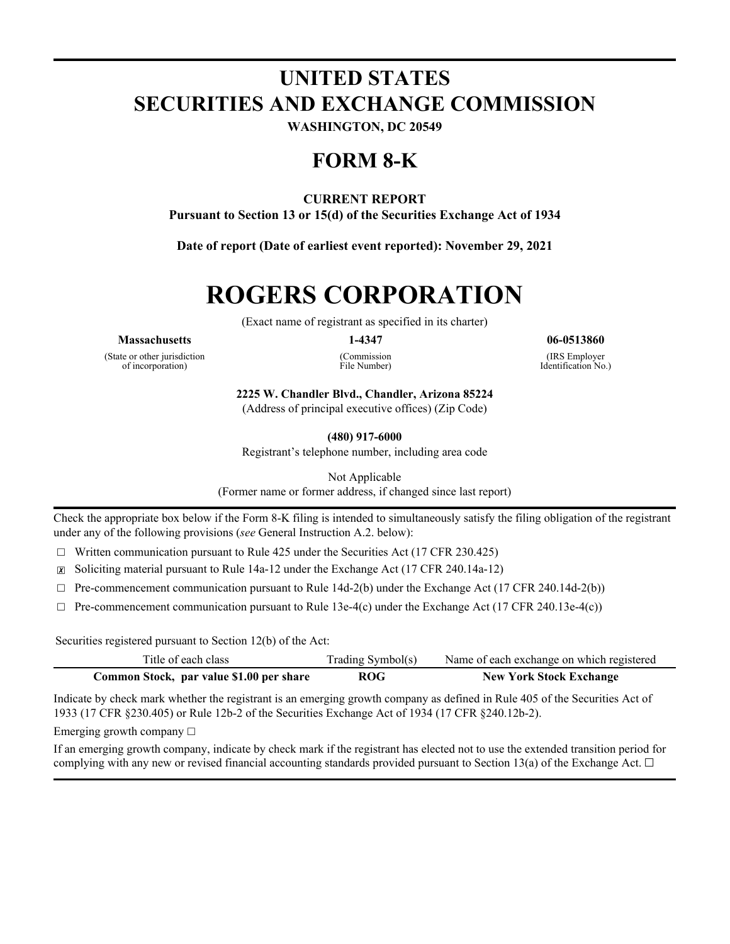# **UNITED STATES SECURITIES AND EXCHANGE COMMISSION**

**WASHINGTON, DC 20549**

## **FORM 8-K**

#### **CURRENT REPORT**

**Pursuant to Section 13 or 15(d) of the Securities Exchange Act of 1934**

**Date of report (Date of earliest event reported): November 29, 2021**

# **ROGERS CORPORATION**

(Exact name of registrant as specified in its charter)

#### **Massachusetts 1-4347 06-0513860**

(State or other jurisdiction of incorporation)

(Commission

File Number)

(IRS Employer

Identification No.)

**2225 W. Chandler Blvd., Chandler, Arizona 85224**

(Address of principal executive offices) (Zip Code)

**(480) 917-6000**

Registrant's telephone number, including area code

Not Applicable

(Former name or former address, if changed since last report)

Check the appropriate box below if the Form 8-K filing is intended to simultaneously satisfy the filing obligation of the registrant under any of the following provisions (*see* General Instruction A.2. below):

 $\Box$  Written communication pursuant to Rule 425 under the Securities Act (17 CFR 230.425)

☒ Soliciting material pursuant to Rule 14a-12 under the Exchange Act (17 CFR 240.14a-12)

 $\Box$  Pre-commencement communication pursuant to Rule 14d-2(b) under the Exchange Act (17 CFR 240.14d-2(b))

 $\Box$  Pre-commencement communication pursuant to Rule 13e-4(c) under the Exchange Act (17 CFR 240.13e-4(c))

Securities registered pursuant to Section 12(b) of the Act:

| Title of each class                      | Trading Symbol(s) | Name of each exchange on which registered |
|------------------------------------------|-------------------|-------------------------------------------|
| Common Stock, par value \$1.00 per share | <b>ROG</b>        | <b>New York Stock Exchange</b>            |

Indicate by check mark whether the registrant is an emerging growth company as defined in Rule 405 of the Securities Act of 1933 (17 CFR §230.405) or Rule 12b-2 of the Securities Exchange Act of 1934 (17 CFR §240.12b-2).

Emerging growth company  $\Box$ 

If an emerging growth company, indicate by check mark if the registrant has elected not to use the extended transition period for complying with any new or revised financial accounting standards provided pursuant to Section 13(a) of the Exchange Act.  $\Box$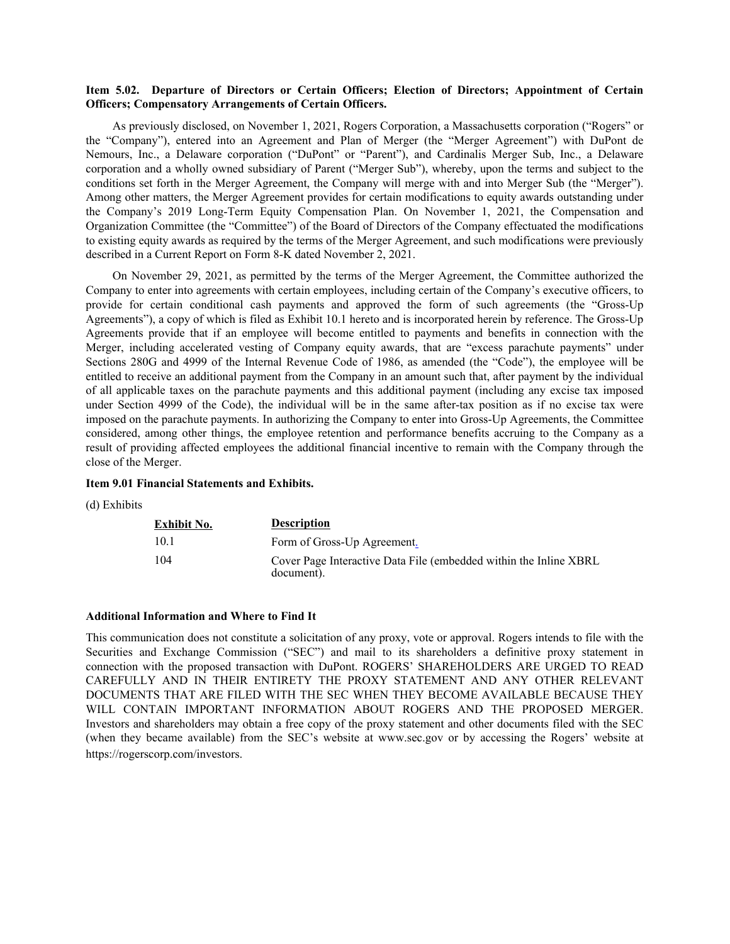#### **Item 5.02. Departure of Directors or Certain Officers; Election of Directors; Appointment of Certain Officers; Compensatory Arrangements of Certain Officers.**

As previously disclosed, on November 1, 2021, Rogers Corporation, a Massachusetts corporation ("Rogers" or the "Company"), entered into an Agreement and Plan of Merger (the "Merger Agreement") with DuPont de Nemours, Inc., a Delaware corporation ("DuPont" or "Parent"), and Cardinalis Merger Sub, Inc., a Delaware corporation and a wholly owned subsidiary of Parent ("Merger Sub"), whereby, upon the terms and subject to the conditions set forth in the Merger Agreement, the Company will merge with and into Merger Sub (the "Merger"). Among other matters, the Merger Agreement provides for certain modifications to equity awards outstanding under the Company's 2019 Long-Term Equity Compensation Plan. On November 1, 2021, the Compensation and Organization Committee (the "Committee") of the Board of Directors of the Company effectuated the modifications to existing equity awards as required by the terms of the Merger Agreement, and such modifications were previously described in a Current Report on Form 8-K dated November 2, 2021.

On November 29, 2021, as permitted by the terms of the Merger Agreement, the Committee authorized the Company to enter into agreements with certain employees, including certain of the Company's executive officers, to provide for certain conditional cash payments and approved the form of such agreements (the "Gross-Up Agreements"), a copy of which is filed as Exhibit 10.1 hereto and is incorporated herein by reference. The Gross-Up Agreements provide that if an employee will become entitled to payments and benefits in connection with the Merger, including accelerated vesting of Company equity awards, that are "excess parachute payments" under Sections 280G and 4999 of the Internal Revenue Code of 1986, as amended (the "Code"), the employee will be entitled to receive an additional payment from the Company in an amount such that, after payment by the individual of all applicable taxes on the parachute payments and this additional payment (including any excise tax imposed under Section 4999 of the Code), the individual will be in the same after-tax position as if no excise tax were imposed on the parachute payments. In authorizing the Company to enter into Gross-Up Agreements, the Committee considered, among other things, the employee retention and performance benefits accruing to the Company as a result of providing affected employees the additional financial incentive to remain with the Company through the close of the Merger.

#### **Item 9.01 Financial Statements and Exhibits.**

(d) Exhibits

| Exhibit No. | <b>Description</b>                                                               |
|-------------|----------------------------------------------------------------------------------|
| 10.1        | Form of Gross-Up Agreement.                                                      |
| 104         | Cover Page Interactive Data File (embedded within the Inline XBRL)<br>document). |

#### **Additional Information and Where to Find It**

This communication does not constitute a solicitation of any proxy, vote or approval. Rogers intends to file with the Securities and Exchange Commission ("SEC") and mail to its shareholders a definitive proxy statement in connection with the proposed transaction with DuPont. ROGERS' SHAREHOLDERS ARE URGED TO READ CAREFULLY AND IN THEIR ENTIRETY THE PROXY STATEMENT AND ANY OTHER RELEVANT DOCUMENTS THAT ARE FILED WITH THE SEC WHEN THEY BECOME AVAILABLE BECAUSE THEY WILL CONTAIN IMPORTANT INFORMATION ABOUT ROGERS AND THE PROPOSED MERGER. Investors and shareholders may obtain a free copy of the proxy statement and other documents filed with the SEC (when they became available) from the SEC's website at www.sec.gov or by accessing the Rogers' website at https://rogerscorp.com/investors.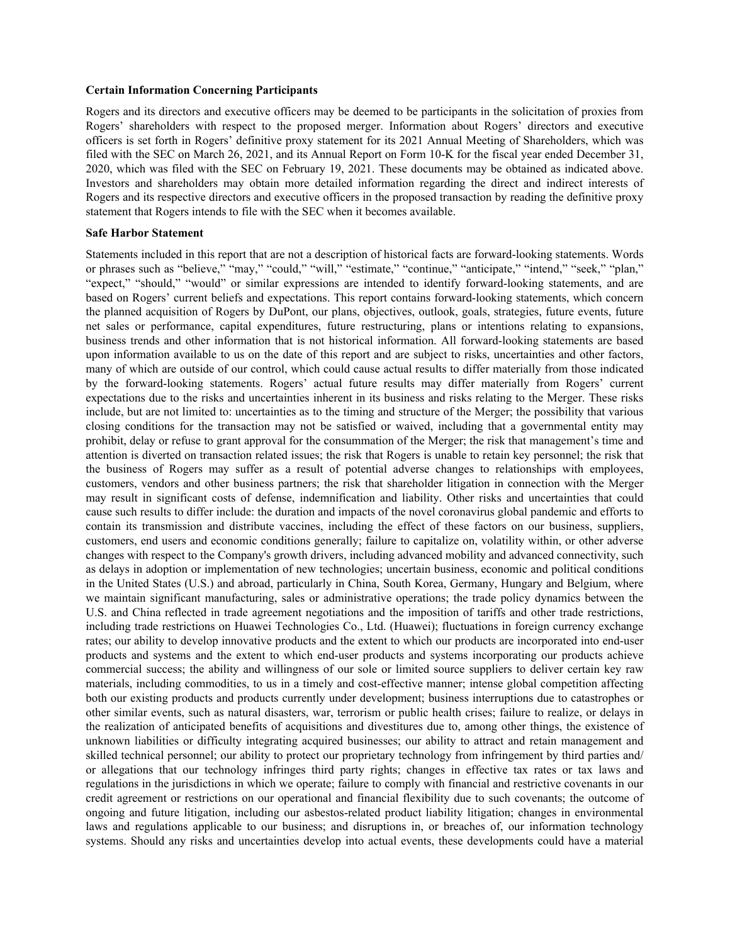#### **Certain Information Concerning Participants**

Rogers and its directors and executive officers may be deemed to be participants in the solicitation of proxies from Rogers' shareholders with respect to the proposed merger. Information about Rogers' directors and executive officers is set forth in Rogers' definitive proxy statement for its 2021 Annual Meeting of Shareholders, which was filed with the SEC on March 26, 2021, and its Annual Report on Form 10-K for the fiscal year ended December 31, 2020, which was filed with the SEC on February 19, 2021. These documents may be obtained as indicated above. Investors and shareholders may obtain more detailed information regarding the direct and indirect interests of Rogers and its respective directors and executive officers in the proposed transaction by reading the definitive proxy statement that Rogers intends to file with the SEC when it becomes available.

#### **Safe Harbor Statement**

Statements included in this report that are not a description of historical facts are forward-looking statements. Words or phrases such as "believe," "may," "could," "will," "estimate," "continue," "anticipate," "intend," "seek," "plan," "expect," "should," "would" or similar expressions are intended to identify forward-looking statements, and are based on Rogers' current beliefs and expectations. This report contains forward-looking statements, which concern the planned acquisition of Rogers by DuPont, our plans, objectives, outlook, goals, strategies, future events, future net sales or performance, capital expenditures, future restructuring, plans or intentions relating to expansions, business trends and other information that is not historical information. All forward-looking statements are based upon information available to us on the date of this report and are subject to risks, uncertainties and other factors, many of which are outside of our control, which could cause actual results to differ materially from those indicated by the forward-looking statements. Rogers' actual future results may differ materially from Rogers' current expectations due to the risks and uncertainties inherent in its business and risks relating to the Merger. These risks include, but are not limited to: uncertainties as to the timing and structure of the Merger; the possibility that various closing conditions for the transaction may not be satisfied or waived, including that a governmental entity may prohibit, delay or refuse to grant approval for the consummation of the Merger; the risk that management's time and attention is diverted on transaction related issues; the risk that Rogers is unable to retain key personnel; the risk that the business of Rogers may suffer as a result of potential adverse changes to relationships with employees, customers, vendors and other business partners; the risk that shareholder litigation in connection with the Merger may result in significant costs of defense, indemnification and liability. Other risks and uncertainties that could cause such results to differ include: the duration and impacts of the novel coronavirus global pandemic and efforts to contain its transmission and distribute vaccines, including the effect of these factors on our business, suppliers, customers, end users and economic conditions generally; failure to capitalize on, volatility within, or other adverse changes with respect to the Company's growth drivers, including advanced mobility and advanced connectivity, such as delays in adoption or implementation of new technologies; uncertain business, economic and political conditions in the United States (U.S.) and abroad, particularly in China, South Korea, Germany, Hungary and Belgium, where we maintain significant manufacturing, sales or administrative operations; the trade policy dynamics between the U.S. and China reflected in trade agreement negotiations and the imposition of tariffs and other trade restrictions, including trade restrictions on Huawei Technologies Co., Ltd. (Huawei); fluctuations in foreign currency exchange rates; our ability to develop innovative products and the extent to which our products are incorporated into end-user products and systems and the extent to which end-user products and systems incorporating our products achieve commercial success; the ability and willingness of our sole or limited source suppliers to deliver certain key raw materials, including commodities, to us in a timely and cost-effective manner; intense global competition affecting both our existing products and products currently under development; business interruptions due to catastrophes or other similar events, such as natural disasters, war, terrorism or public health crises; failure to realize, or delays in the realization of anticipated benefits of acquisitions and divestitures due to, among other things, the existence of unknown liabilities or difficulty integrating acquired businesses; our ability to attract and retain management and skilled technical personnel; our ability to protect our proprietary technology from infringement by third parties and/ or allegations that our technology infringes third party rights; changes in effective tax rates or tax laws and regulations in the jurisdictions in which we operate; failure to comply with financial and restrictive covenants in our credit agreement or restrictions on our operational and financial flexibility due to such covenants; the outcome of ongoing and future litigation, including our asbestos-related product liability litigation; changes in environmental laws and regulations applicable to our business; and disruptions in, or breaches of, our information technology systems. Should any risks and uncertainties develop into actual events, these developments could have a material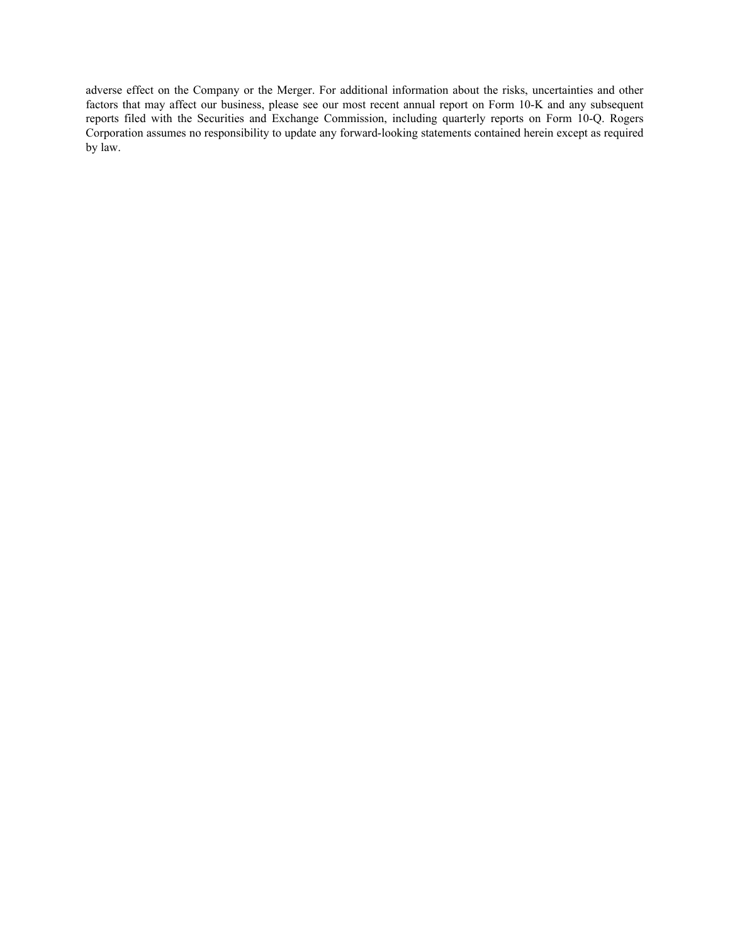adverse effect on the Company or the Merger. For additional information about the risks, uncertainties and other factors that may affect our business, please see our most recent annual report on Form 10-K and any subsequent reports filed with the Securities and Exchange Commission, including quarterly reports on Form 10-Q. Rogers Corporation assumes no responsibility to update any forward-looking statements contained herein except as required by law.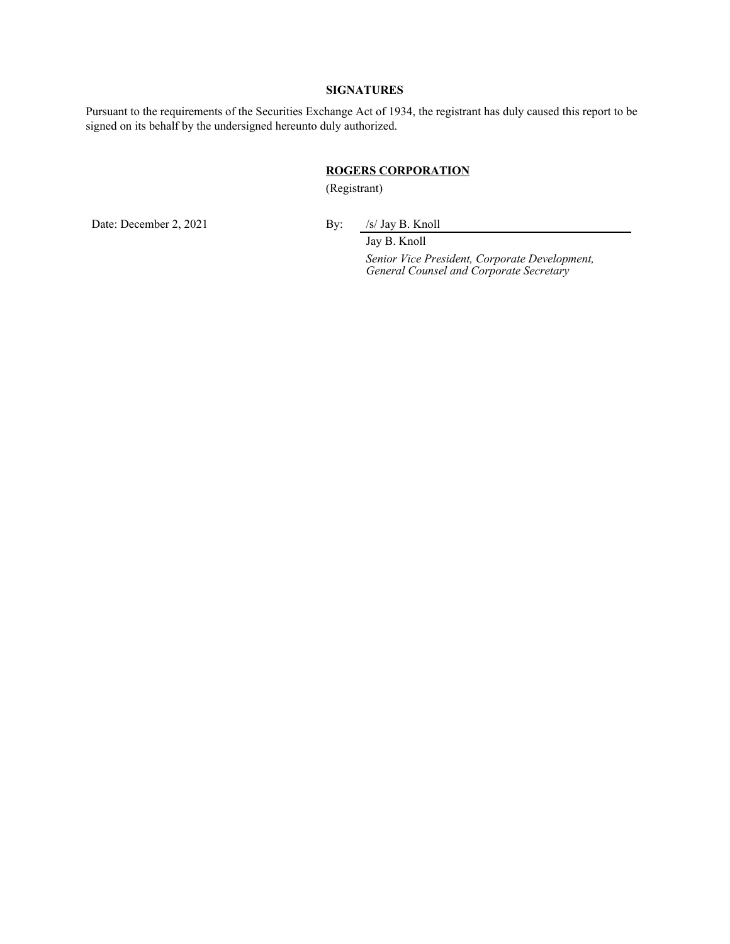#### **SIGNATURES**

Pursuant to the requirements of the Securities Exchange Act of 1934, the registrant has duly caused this report to be signed on its behalf by the undersigned hereunto duly authorized.

#### **ROGERS CORPORATION**

(Registrant)

Date: December 2, 2021 By: /s/ Jay B. Knoll

Jay B. Knoll

*Senior Vice President, Corporate Development, General Counsel and Corporate Secretary*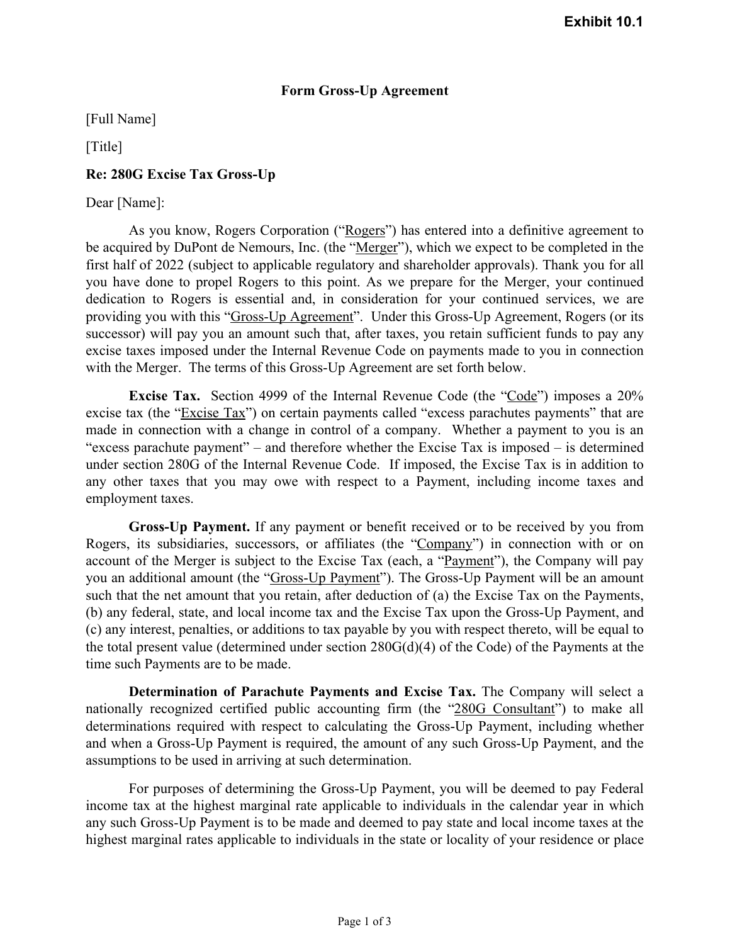## **Form Gross-Up Agreement**

[Full Name]

[Title]

## **Re: 280G Excise Tax Gross-Up**

### Dear [Name]:

As you know, Rogers Corporation ("Rogers") has entered into a definitive agreement to be acquired by DuPont de Nemours, Inc. (the "Merger"), which we expect to be completed in the first half of 2022 (subject to applicable regulatory and shareholder approvals). Thank you for all you have done to propel Rogers to this point. As we prepare for the Merger, your continued dedication to Rogers is essential and, in consideration for your continued services, we are providing you with this "Gross-Up Agreement". Under this Gross-Up Agreement, Rogers (or its successor) will pay you an amount such that, after taxes, you retain sufficient funds to pay any excise taxes imposed under the Internal Revenue Code on payments made to you in connection with the Merger. The terms of this Gross-Up Agreement are set forth below.

**Excise Tax.** Section 4999 of the Internal Revenue Code (the "Code") imposes a 20% excise tax (the "Excise Tax") on certain payments called "excess parachutes payments" that are made in connection with a change in control of a company. Whether a payment to you is an "excess parachute payment" – and therefore whether the Excise Tax is imposed – is determined under section 280G of the Internal Revenue Code. If imposed, the Excise Tax is in addition to any other taxes that you may owe with respect to a Payment, including income taxes and employment taxes.

**Gross-Up Payment.** If any payment or benefit received or to be received by you from Rogers, its subsidiaries, successors, or affiliates (the "Company") in connection with or on account of the Merger is subject to the Excise Tax (each, a "Payment"), the Company will pay you an additional amount (the "Gross-Up Payment"). The Gross-Up Payment will be an amount such that the net amount that you retain, after deduction of (a) the Excise Tax on the Payments, (b) any federal, state, and local income tax and the Excise Tax upon the Gross-Up Payment, and (c) any interest, penalties, or additions to tax payable by you with respect thereto, will be equal to the total present value (determined under section 280G(d)(4) of the Code) of the Payments at the time such Payments are to be made.

**Determination of Parachute Payments and Excise Tax.** The Company will select a nationally recognized certified public accounting firm (the "280G Consultant") to make all determinations required with respect to calculating the Gross-Up Payment, including whether and when a Gross-Up Payment is required, the amount of any such Gross-Up Payment, and the assumptions to be used in arriving at such determination.

For purposes of determining the Gross-Up Payment, you will be deemed to pay Federal income tax at the highest marginal rate applicable to individuals in the calendar year in which any such Gross‑Up Payment is to be made and deemed to pay state and local income taxes at the highest marginal rates applicable to individuals in the state or locality of your residence or place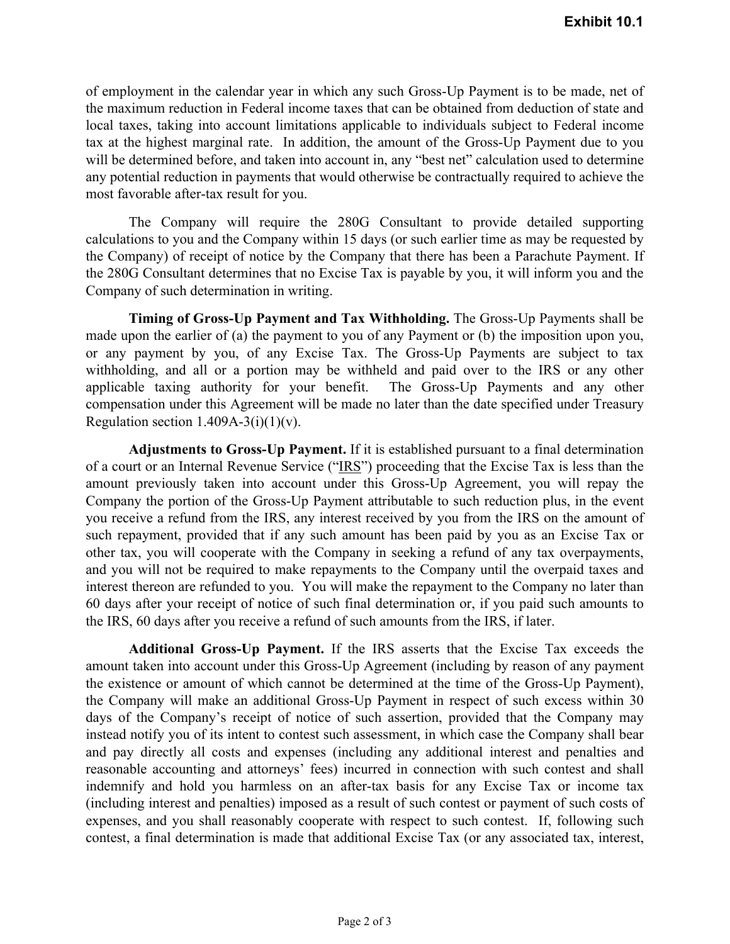of employment in the calendar year in which any such Gross‑Up Payment is to be made, net of the maximum reduction in Federal income taxes that can be obtained from deduction of state and local taxes, taking into account limitations applicable to individuals subject to Federal income tax at the highest marginal rate. In addition, the amount of the Gross-Up Payment due to you will be determined before, and taken into account in, any "best net" calculation used to determine any potential reduction in payments that would otherwise be contractually required to achieve the most favorable after-tax result for you.

The Company will require the 280G Consultant to provide detailed supporting calculations to you and the Company within 15 days (or such earlier time as may be requested by the Company) of receipt of notice by the Company that there has been a Parachute Payment. If the 280G Consultant determines that no Excise Tax is payable by you, it will inform you and the Company of such determination in writing.

**Timing of Gross-Up Payment and Tax Withholding.** The Gross-Up Payments shall be made upon the earlier of (a) the payment to you of any Payment or (b) the imposition upon you, or any payment by you, of any Excise Tax. The Gross-Up Payments are subject to tax withholding, and all or a portion may be withheld and paid over to the IRS or any other applicable taxing authority for your benefit. The Gross-Up Payments and any other compensation under this Agreement will be made no later than the date specified under Treasury Regulation section  $1.409A-3(i)(1)(v)$ .

**Adjustments to Gross-Up Payment.** If it is established pursuant to a final determination of a court or an Internal Revenue Service ("IRS") proceeding that the Excise Tax is less than the amount previously taken into account under this Gross-Up Agreement, you will repay the Company the portion of the Gross-Up Payment attributable to such reduction plus, in the event you receive a refund from the IRS, any interest received by you from the IRS on the amount of such repayment, provided that if any such amount has been paid by you as an Excise Tax or other tax, you will cooperate with the Company in seeking a refund of any tax overpayments, and you will not be required to make repayments to the Company until the overpaid taxes and interest thereon are refunded to you. You will make the repayment to the Company no later than 60 days after your receipt of notice of such final determination or, if you paid such amounts to the IRS, 60 days after you receive a refund of such amounts from the IRS, if later.

**Additional Gross-Up Payment.** If the IRS asserts that the Excise Tax exceeds the amount taken into account under this Gross-Up Agreement (including by reason of any payment the existence or amount of which cannot be determined at the time of the Gross-Up Payment), the Company will make an additional Gross-Up Payment in respect of such excess within 30 days of the Company's receipt of notice of such assertion, provided that the Company may instead notify you of its intent to contest such assessment, in which case the Company shall bear and pay directly all costs and expenses (including any additional interest and penalties and reasonable accounting and attorneys' fees) incurred in connection with such contest and shall indemnify and hold you harmless on an after-tax basis for any Excise Tax or income tax (including interest and penalties) imposed as a result of such contest or payment of such costs of expenses, and you shall reasonably cooperate with respect to such contest. If, following such contest, a final determination is made that additional Excise Tax (or any associated tax, interest,